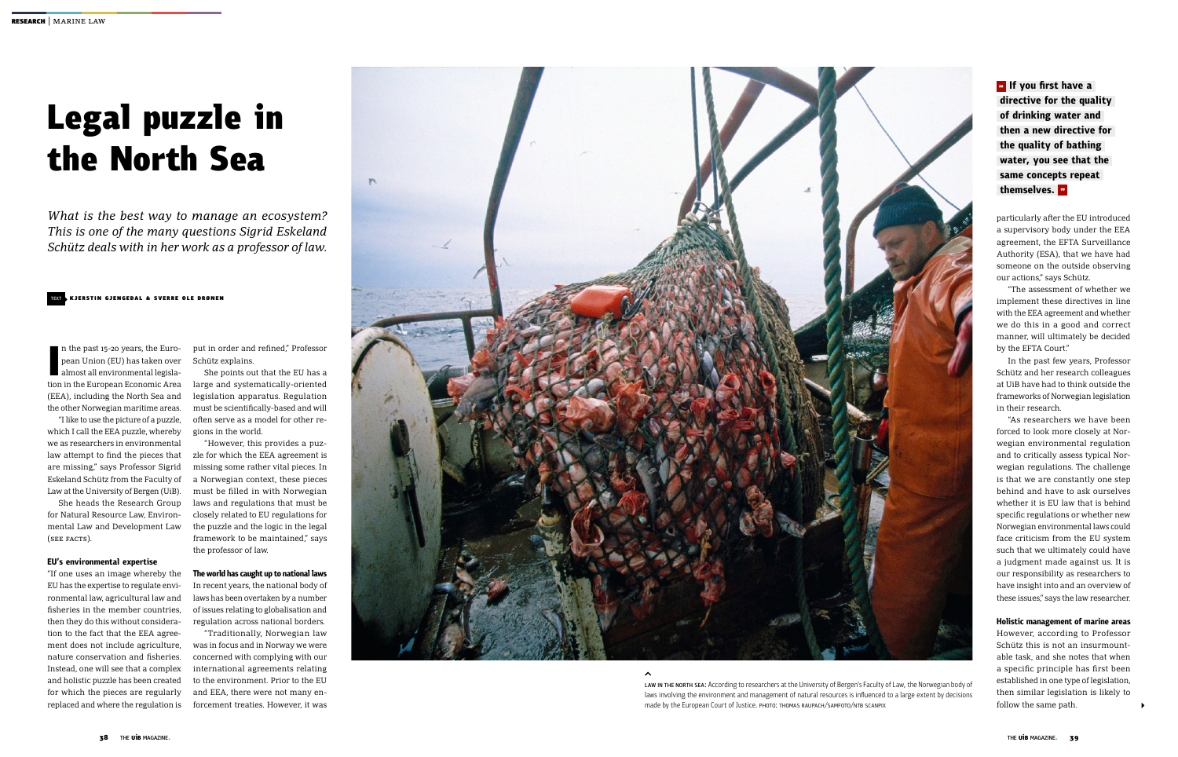## Text KJERSTIN GJENGEDAL & SVERRE OLE DRØNEN

# Legal puzzle in the North Sea

*What is the best way to manage an ecosystem? This is one of the many questions Sigrid Eskeland Schütz deals with in her work as a professor of law.*

**I**<br>Ition n the past 15-20 years, the European Union (EU) has taken over almost all environmental legislation in the European Economic Area (EEA), including the North Sea and the other Norwegian maritime areas.

"I like to use the picture of a puzzle, which I call the EEA puzzle, whereby we as researchers in environmental law attempt to find the pieces that are missing," says Professor Sigrid Eskeland Schütz from the Faculty of Law at the University of Bergen (UiB).

She heads the Research Group for Natural Resource Law, Environmental Law and Development Law (see facts).

## **EU's environmental expertise**

"If one uses an image whereby the EU has the expertise to regulate environmental law, agricultural law and fisheries in the member countries, then they do this without consideration to the fact that the EEA agreement does not include agriculture, nature conservation and fisheries. Instead, one will see that a complex and holistic puzzle has been created for which the pieces are regularly replaced and where the regulation is

put in order and refined," Professor Schütz explains.

She points out that the EU has a large and systematically-oriented legislation apparatus. Regulation must be scientifically-based and will often serve as a model for other regions in the world.

"However, this provides a puzzle for which the EEA agreement is missing some rather vital pieces. In a Norwegian context, these pieces must be filled in with Norwegian laws and regulations that must be closely related to EU regulations for the puzzle and the logic in the legal framework to be maintained," says the professor of law.

> LAW IN THE NORTH SEA: According to researchers at the University of Bergen's Faculty of Law, the Norwegian body of laws involving the environment and management of natural resources is influenced to a large extent by decisions made by the European Court of Justice. PHOTO: THOMAS RAUPACH/SAMFOTO/NTB SCANPIX

# **The world has caught up to national laws**

In recent years, the national body of laws has been overtaken by a number of issues relating to globalisation and regulation across national borders.

*u* If you first have a  **directive for the quality of drinking water and then a new directive for the quality of bathing water, you see that the same concepts repeat themselves.** "

"Traditionally, Norwegian law was in focus and in Norway we were concerned with complying with our international agreements relating to the environment. Prior to the EU and EEA, there were not many enforcement treaties. However, it was



particularly after the EU introduced a supervisory body under the EEA agreement, the EFTA Surveillance Authority (ESA), that we have had someone on the outside observing our actions," says Schütz.

"The assessment of whether we implement these directives in line with the EEA agreement and whether we do this in a good and correct manner, will ultimately be decided by the EFTA Court."

In the past few years, Professor Schütz and her research colleagues at UiB have had to think outside the frameworks of Norwegian legislation in their research.

"As researchers we have been forced to look more closely at Norwegian environmental regulation and to critically assess typical Norwegian regulations. The challenge is that we are constantly one step behind and have to ask ourselves whether it is EU law that is behind specific regulations or whether new Norwegian environmental laws could face criticism from the EU system such that we ultimately could have a judgment made against us. It is our responsibility as researchers to have insight into and an overview of these issues," says the law researcher.

## **Holistic management of marine areas**

However, according to Professor Schütz this is not an insurmountable task, and she notes that when a specific principle has first been established in one type of legislation, then similar legislation is likely to follow the same path.